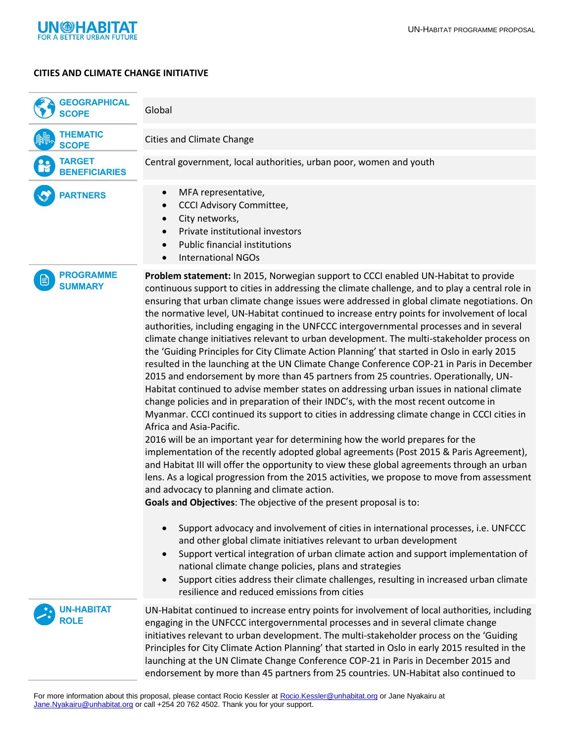

## **CITIES AND CLIMATE CHANGE INITIATIVE**

| <b>GEOGRAPHICAL</b><br><b>SCOPE</b>   | Global                                                                                                                                                                                                                                                                                                                                                                                                                                                                                                                                                                                                                                                                                                                                                                                                                                                                                                                                                                                                                                                                                                                                                                                                                                                                                                                                                                                                                                                                                                                                                                                                                                                                            |
|---------------------------------------|-----------------------------------------------------------------------------------------------------------------------------------------------------------------------------------------------------------------------------------------------------------------------------------------------------------------------------------------------------------------------------------------------------------------------------------------------------------------------------------------------------------------------------------------------------------------------------------------------------------------------------------------------------------------------------------------------------------------------------------------------------------------------------------------------------------------------------------------------------------------------------------------------------------------------------------------------------------------------------------------------------------------------------------------------------------------------------------------------------------------------------------------------------------------------------------------------------------------------------------------------------------------------------------------------------------------------------------------------------------------------------------------------------------------------------------------------------------------------------------------------------------------------------------------------------------------------------------------------------------------------------------------------------------------------------------|
| <b>THEMATIC</b><br><b>SCOPE</b>       | <b>Cities and Climate Change</b>                                                                                                                                                                                                                                                                                                                                                                                                                                                                                                                                                                                                                                                                                                                                                                                                                                                                                                                                                                                                                                                                                                                                                                                                                                                                                                                                                                                                                                                                                                                                                                                                                                                  |
| <b>TARGET</b><br><b>BENEFICIARIES</b> | Central government, local authorities, urban poor, women and youth                                                                                                                                                                                                                                                                                                                                                                                                                                                                                                                                                                                                                                                                                                                                                                                                                                                                                                                                                                                                                                                                                                                                                                                                                                                                                                                                                                                                                                                                                                                                                                                                                |
| <b>PARTNERS</b>                       | MFA representative,<br>$\bullet$<br><b>CCCI Advisory Committee,</b><br>$\bullet$<br>City networks,<br>$\bullet$<br>Private institutional investors<br>$\bullet$<br><b>Public financial institutions</b><br><b>International NGOs</b>                                                                                                                                                                                                                                                                                                                                                                                                                                                                                                                                                                                                                                                                                                                                                                                                                                                                                                                                                                                                                                                                                                                                                                                                                                                                                                                                                                                                                                              |
| <b>PROGRAMME</b><br><b>SUMMARY</b>    | Problem statement: In 2015, Norwegian support to CCCI enabled UN-Habitat to provide<br>continuous support to cities in addressing the climate challenge, and to play a central role in<br>ensuring that urban climate change issues were addressed in global climate negotiations. On<br>the normative level, UN-Habitat continued to increase entry points for involvement of local<br>authorities, including engaging in the UNFCCC intergovernmental processes and in several<br>climate change initiatives relevant to urban development. The multi-stakeholder process on<br>the 'Guiding Principles for City Climate Action Planning' that started in Oslo in early 2015<br>resulted in the launching at the UN Climate Change Conference COP-21 in Paris in December<br>2015 and endorsement by more than 45 partners from 25 countries. Operationally, UN-<br>Habitat continued to advise member states on addressing urban issues in national climate<br>change policies and in preparation of their INDC's, with the most recent outcome in<br>Myanmar. CCCI continued its support to cities in addressing climate change in CCCI cities in<br>Africa and Asia-Pacific.<br>2016 will be an important year for determining how the world prepares for the<br>implementation of the recently adopted global agreements (Post 2015 & Paris Agreement),<br>and Habitat III will offer the opportunity to view these global agreements through an urban<br>lens. As a logical progression from the 2015 activities, we propose to move from assessment<br>and advocacy to planning and climate action.<br>Goals and Objectives: The objective of the present proposal is to: |
|                                       | Support advocacy and involvement of cities in international processes, i.e. UNFCCC<br>and other global climate initiatives relevant to urban development<br>Support vertical integration of urban climate action and support implementation of<br>national climate change policies, plans and strategies<br>Support cities address their climate challenges, resulting in increased urban climate<br>$\bullet$<br>resilience and reduced emissions from cities                                                                                                                                                                                                                                                                                                                                                                                                                                                                                                                                                                                                                                                                                                                                                                                                                                                                                                                                                                                                                                                                                                                                                                                                                    |
| <b>UN-HABITAT</b>                     | UN-Habitat continued to increase entry points for involvement of local authorities, including<br>engaging in the UNFCCC intergovernmental processes and in several climate change<br>initiatives relevant to urban development. The multi-stakeholder process on the 'Guiding<br>Principles for City Climate Action Planning' that started in Oslo in early 2015 resulted in the<br>launching at the UN Climate Change Conference COP-21 in Paris in December 2015 and<br>endorsement by more than 45 partners from 25 countries. UN-Habitat also continued to                                                                                                                                                                                                                                                                                                                                                                                                                                                                                                                                                                                                                                                                                                                                                                                                                                                                                                                                                                                                                                                                                                                    |